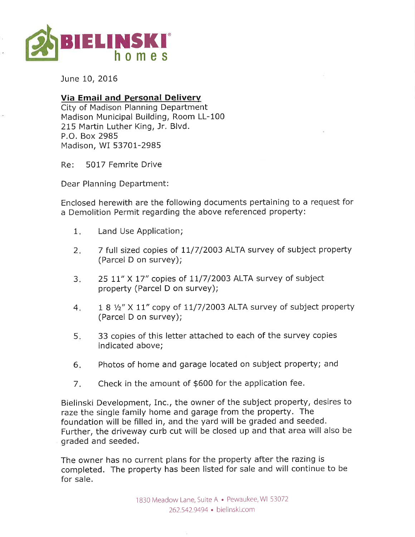

June 10, 2016

## Via Email and Personal Delivery

City of Madison Planning Department Madison Municipal Building, Room LL-100 215 Martin Luther King, Jr, Blvd. P,O, Box 2985 Madison, WI 53701-2985

Re: 5017 Femrite Drive

Dear Planning Department:

Enclosed herewith are the following documents pertaining to a request for a Demolition Permit regarding the above referenced property:

- Land Use Application;  $1<sub>n</sub>$
- 7 full sized copies of 11/7/2003 ALTA survey of subject property (Parcel D on survey);  $2<sub>i</sub>$
- 25  $11''$  X  $17''$  copies of  $11/7/2003$  ALTA survey of subject property (Parcel D on survey);  $3<sub>1</sub>$
- $18$   $\frac{1}{2}$  X  $11$ " copy of  $11/7/2003$  ALTA survey of subject property (Parcel D on survey);  $4.$
- 33 copies of this letter attached to each of the survey copies indicated above; 5.
- Photos of home and garage located on subject property; and  $6.$
- Check in the amount of \$600 for the application fee.  $7.$

Bielinski Development, Inc., the owner of the subject property, desires to raze the single family home and garage from the property. The foundation will be filled in, and the yard will be graded and seeded. Further, the driveway curb cut will be closed up and that area will also be graded and seeded.

The owner has no current plans for the property after the razing is completed. The property has been listed for sale and will continue to be for sale.